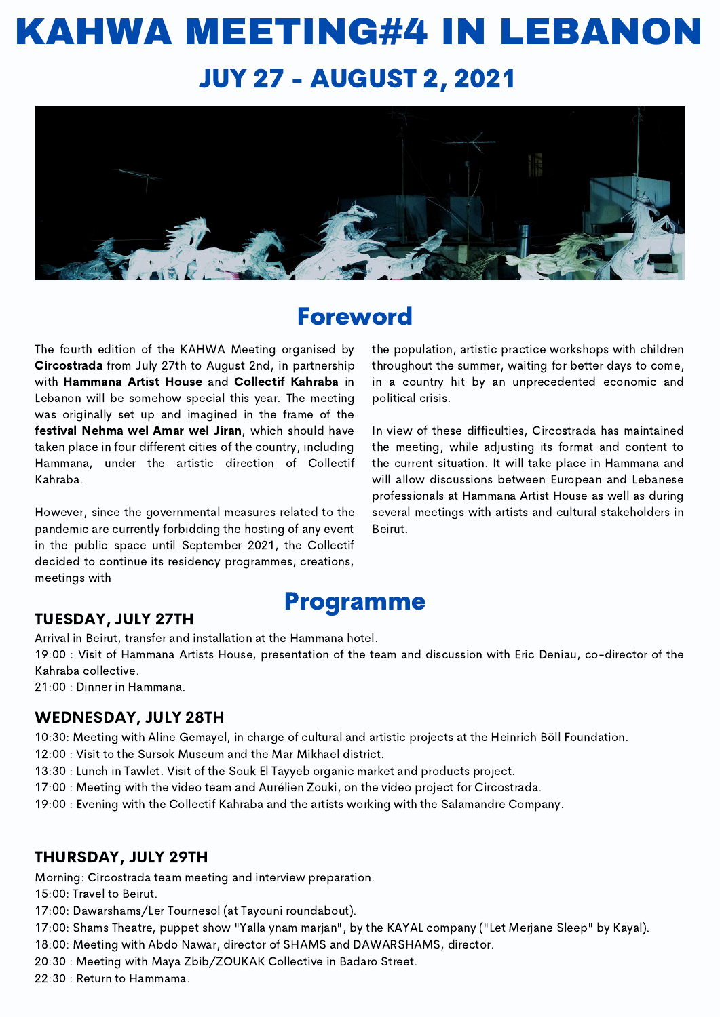# KAHWA MEETING#4 IN LEBANON JUY 27 - AUGUST 2, 2021



### Foreword

The fourth edition of the KAHWA Meeting organised by Circostrada from July 27th to August 2nd, in partnership with Hammana Artist House and Collectif Kahraba in Lebanon will be somehow special this year. The meeting was originally set up and imagined in the frame of the festival Nehma wel Amar wel Jiran, which should have taken place in four different cities of the country, including Hammana, under the artistic direction of Collectif Kahraba.

However, since the governmental measures related to the pandemic are currently forbidding the hosting of any event in the public space until September 2021, the Collectif decided to continue its residency programmes, creations, meetings with

the population, artistic practice workshops with children throughout the summer, waiting for better days to come, in a country hit by an unprecedented economic and political crisis.

In view of these difficulties, Circostrada has maintained the meeting, while adjusting its format and content to the current situation. It will take place in Hammana and will allow discussions between European and Lebanese professionals at Hammana Artist House as well as during several meetings with artists and cultural stakeholders in Beirut.

## Programme

TUESDAY, JULY 27TH

Arrival in Beirut, transfer and installation at the Hammana hotel.

19:00 : Visit of Hammana Artists House, presentation of the team and discussion with Eric Deniau, co-director of the Kahraba collective.

21:00 : Dinner in Hammana.

#### WEDNESDAY, JULY 28TH

10:30: Meeting with Aline Gemayel, in charge of cultural and artistic projects at the Heinrich Böll Foundation.

12:00 : Visit to the Sursok Museum and the Mar Mikhael district.

13:30 : Lunch in Tawlet. Visit of the Souk El Tayyeb organic market and products project.

17:00 : Meeting with the video team and Aurélien Zouki, on the video project for Circostrada.

19:00 : Evening with the Collectif Kahraba and the artists working with the Salamandre Company.

#### THURSDAY, JULY 29TH

Morning: Circostrada team meeting and interview preparation.

15:00: Travel to Beirut.

17:00: Dawarshams/Ler Tournesol (at Tayouni roundabout).

17:00: Shams Theatre, puppet show "Yalla ynam marjan", by the KAYAL company ("Let Merjane Sleep" by Kayal).

18:00: Meeting with Abdo Nawar, director of SHAMS and DAWARSHAMS, director.

20:30 : Meeting with Maya Zbib/ZOUKAK Collective in Badaro Street.

22:30 : Return to Hammama.